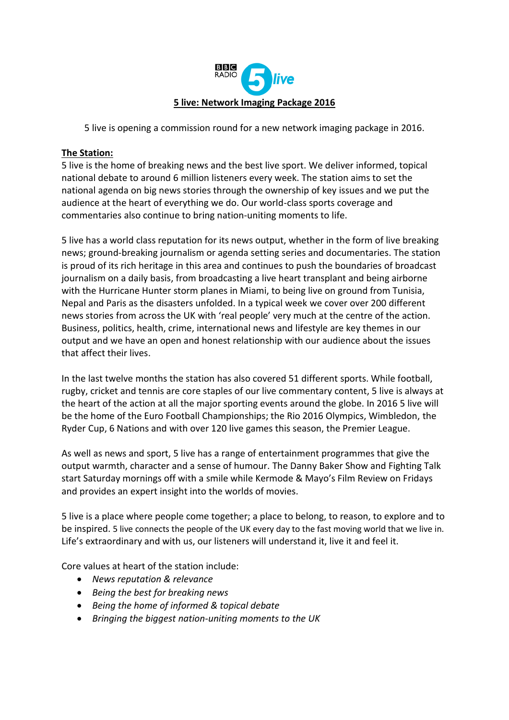

5 live is opening a commission round for a new network imaging package in 2016.

### **The Station:**

5 live is the home of breaking news and the best live sport. We deliver informed, topical national debate to around 6 million listeners every week. The station aims to set the national agenda on big news stories through the ownership of key issues and we put the audience at the heart of everything we do. Our world-class sports coverage and commentaries also continue to bring nation-uniting moments to life.

5 live has a world class reputation for its news output, whether in the form of live breaking news; ground-breaking journalism or agenda setting series and documentaries. The station is proud of its rich heritage in this area and continues to push the boundaries of broadcast journalism on a daily basis, from broadcasting a live heart transplant and being airborne with the Hurricane Hunter storm planes in Miami, to being live on ground from Tunisia, Nepal and Paris as the disasters unfolded. In a typical week we cover over 200 different news stories from across the UK with 'real people' very much at the centre of the action. Business, politics, health, crime, international news and lifestyle are key themes in our output and we have an open and honest relationship with our audience about the issues that affect their lives.

In the last twelve months the station has also covered 51 different sports. While football, rugby, cricket and tennis are core staples of our live commentary content, 5 live is always at the heart of the action at all the major sporting events around the globe. In 2016 5 live will be the home of the Euro Football Championships; the Rio 2016 Olympics, Wimbledon, the Ryder Cup, 6 Nations and with over 120 live games this season, the Premier League.

As well as news and sport, 5 live has a range of entertainment programmes that give the output warmth, character and a sense of humour. The Danny Baker Show and Fighting Talk start Saturday mornings off with a smile while Kermode & Mayo's Film Review on Fridays and provides an expert insight into the worlds of movies.

5 live is a place where people come together; a place to belong, to reason, to explore and to be inspired. 5 live connects the people of the UK every day to the fast moving world that we live in. Life's extraordinary and with us, our listeners will understand it, live it and feel it.

Core values at heart of the station include:

- *News reputation & relevance*
- *Being the best for breaking news*
- *Being the home of informed & topical debate*
- *Bringing the biggest nation-uniting moments to the UK*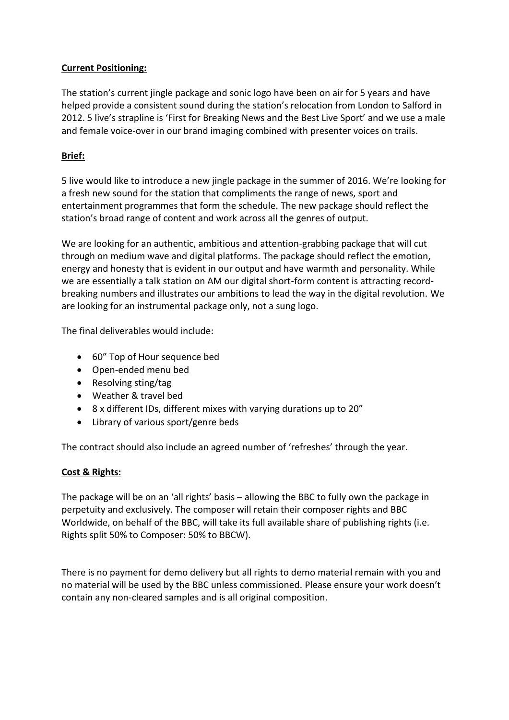## **Current Positioning:**

The station's current jingle package and sonic logo have been on air for 5 years and have helped provide a consistent sound during the station's relocation from London to Salford in 2012. 5 live's strapline is 'First for Breaking News and the Best Live Sport' and we use a male and female voice-over in our brand imaging combined with presenter voices on trails.

# **Brief:**

5 live would like to introduce a new jingle package in the summer of 2016. We're looking for a fresh new sound for the station that compliments the range of news, sport and entertainment programmes that form the schedule. The new package should reflect the station's broad range of content and work across all the genres of output.

We are looking for an authentic, ambitious and attention-grabbing package that will cut through on medium wave and digital platforms. The package should reflect the emotion, energy and honesty that is evident in our output and have warmth and personality. While we are essentially a talk station on AM our digital short-form content is attracting recordbreaking numbers and illustrates our ambitions to lead the way in the digital revolution. We are looking for an instrumental package only, not a sung logo.

The final deliverables would include:

- 60" Top of Hour sequence bed
- Open-ended menu bed
- Resolving sting/tag
- Weather & travel bed
- 8 x different IDs, different mixes with varying durations up to 20"
- Library of various sport/genre beds

The contract should also include an agreed number of 'refreshes' through the year.

#### **Cost & Rights:**

The package will be on an 'all rights' basis – allowing the BBC to fully own the package in perpetuity and exclusively. The composer will retain their composer rights and BBC Worldwide, on behalf of the BBC, will take its full available share of publishing rights (i.e. Rights split 50% to Composer: 50% to BBCW).

There is no payment for demo delivery but all rights to demo material remain with you and no material will be used by the BBC unless commissioned. Please ensure your work doesn't contain any non-cleared samples and is all original composition.